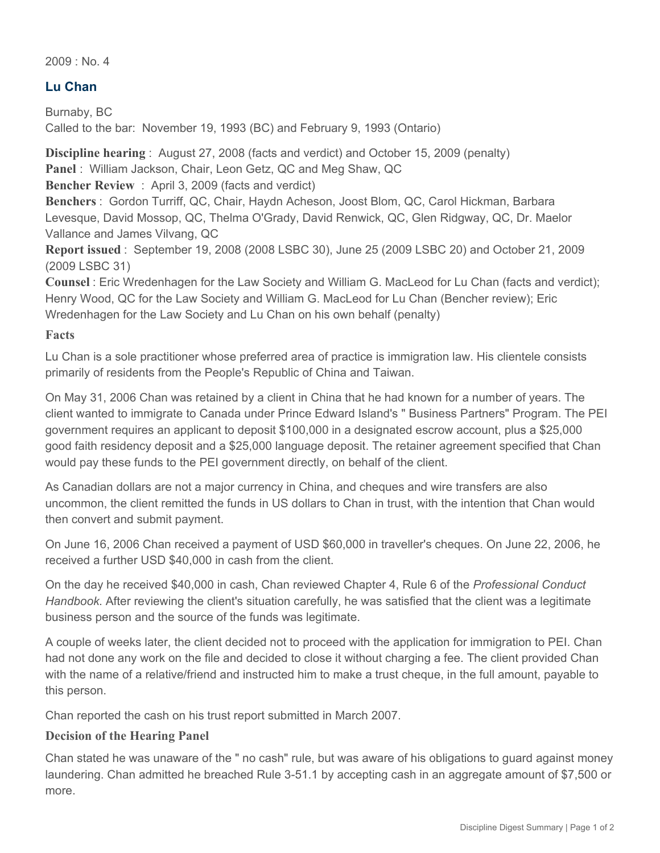$2009 \cdot N_0$  4

# **Lu Chan**

Burnaby, BC Called to the bar: November 19, 1993 (BC) and February 9, 1993 (Ontario)

**Discipline hearing** : August 27, 2008 (facts and verdict) and October 15, 2009 (penalty) **Panel** : William Jackson, Chair, Leon Getz, QC and Meg Shaw, QC **Bencher Review** : April 3, 2009 (facts and verdict)

**Benchers** : Gordon Turriff, QC, Chair, Haydn Acheson, Joost Blom, QC, Carol Hickman, Barbara Levesque, David Mossop, QC, Thelma O'Grady, David Renwick, QC, Glen Ridgway, QC, Dr. Maelor Vallance and James Vilvang, QC

**Report issued** : September 19, 2008 (2008 LSBC 30), June 25 (2009 LSBC 20) and October 21, 2009 (2009 LSBC 31)

**Counsel** : Eric Wredenhagen for the Law Society and William G. MacLeod for Lu Chan (facts and verdict); Henry Wood, QC for the Law Society and William G. MacLeod for Lu Chan (Bencher review); Eric Wredenhagen for the Law Society and Lu Chan on his own behalf (penalty)

#### **Facts**

Lu Chan is a sole practitioner whose preferred area of practice is immigration law. His clientele consists primarily of residents from the People's Republic of China and Taiwan.

On May 31, 2006 Chan was retained by a client in China that he had known for a number of years. The client wanted to immigrate to Canada under Prince Edward Island's " Business Partners" Program. The PEI government requires an applicant to deposit \$100,000 in a designated escrow account, plus a \$25,000 good faith residency deposit and a \$25,000 language deposit. The retainer agreement specified that Chan would pay these funds to the PEI government directly, on behalf of the client.

As Canadian dollars are not a major currency in China, and cheques and wire transfers are also uncommon, the client remitted the funds in US dollars to Chan in trust, with the intention that Chan would then convert and submit payment.

On June 16, 2006 Chan received a payment of USD \$60,000 in traveller's cheques. On June 22, 2006, he received a further USD \$40,000 in cash from the client.

On the day he received \$40,000 in cash, Chan reviewed Chapter 4, Rule 6 of the *Professional Conduct Handbook*. After reviewing the client's situation carefully, he was satisfied that the client was a legitimate business person and the source of the funds was legitimate.

A couple of weeks later, the client decided not to proceed with the application for immigration to PEI. Chan had not done any work on the file and decided to close it without charging a fee. The client provided Chan with the name of a relative/friend and instructed him to make a trust cheque, in the full amount, payable to this person.

Chan reported the cash on his trust report submitted in March 2007.

### **Decision of the Hearing Panel**

Chan stated he was unaware of the " no cash" rule, but was aware of his obligations to guard against money laundering. Chan admitted he breached Rule 3-51.1 by accepting cash in an aggregate amount of \$7,500 or more.